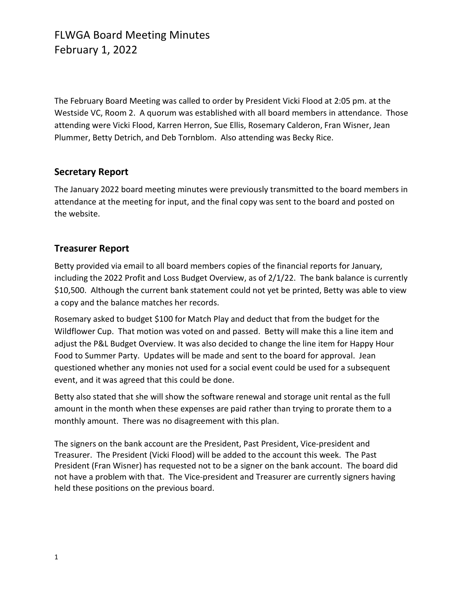The February Board Meeting was called to order by President Vicki Flood at 2:05 pm. at the Westside VC, Room 2. A quorum was established with all board members in attendance. Those attending were Vicki Flood, Karren Herron, Sue Ellis, Rosemary Calderon, Fran Wisner, Jean Plummer, Betty Detrich, and Deb Tornblom. Also attending was Becky Rice.

#### **Secretary Report**

The January 2022 board meeting minutes were previously transmitted to the board members in attendance at the meeting for input, and the final copy was sent to the board and posted on the website.

### **Treasurer Report**

Betty provided via email to all board members copies of the financial reports for January, including the 2022 Profit and Loss Budget Overview, as of 2/1/22. The bank balance is currently \$10,500. Although the current bank statement could not yet be printed, Betty was able to view a copy and the balance matches her records.

Rosemary asked to budget \$100 for Match Play and deduct that from the budget for the Wildflower Cup. That motion was voted on and passed. Betty will make this a line item and adjust the P&L Budget Overview. It was also decided to change the line item for Happy Hour Food to Summer Party. Updates will be made and sent to the board for approval. Jean questioned whether any monies not used for a social event could be used for a subsequent event, and it was agreed that this could be done.

Betty also stated that she will show the software renewal and storage unit rental as the full amount in the month when these expenses are paid rather than trying to prorate them to a monthly amount. There was no disagreement with this plan.

The signers on the bank account are the President, Past President, Vice-president and Treasurer. The President (Vicki Flood) will be added to the account this week. The Past President (Fran Wisner) has requested not to be a signer on the bank account. The board did not have a problem with that. The Vice-president and Treasurer are currently signers having held these positions on the previous board.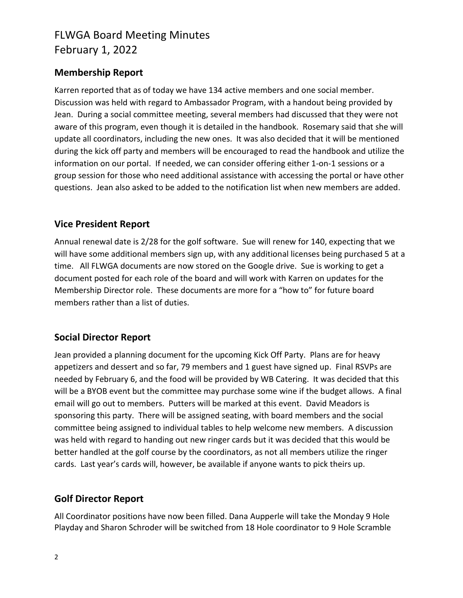## FLWGA Board Meeting Minutes February 1, 2022

### **Membership Report**

Karren reported that as of today we have 134 active members and one social member. Discussion was held with regard to Ambassador Program, with a handout being provided by Jean. During a social committee meeting, several members had discussed that they were not aware of this program, even though it is detailed in the handbook. Rosemary said that she will update all coordinators, including the new ones. It was also decided that it will be mentioned during the kick off party and members will be encouraged to read the handbook and utilize the information on our portal. If needed, we can consider offering either 1-on-1 sessions or a group session for those who need additional assistance with accessing the portal or have other questions. Jean also asked to be added to the notification list when new members are added.

### **Vice President Report**

Annual renewal date is 2/28 for the golf software. Sue will renew for 140, expecting that we will have some additional members sign up, with any additional licenses being purchased 5 at a time. All FLWGA documents are now stored on the Google drive. Sue is working to get a document posted for each role of the board and will work with Karren on updates for the Membership Director role. These documents are more for a "how to" for future board members rather than a list of duties.

### **Social Director Report**

Jean provided a planning document for the upcoming Kick Off Party. Plans are for heavy appetizers and dessert and so far, 79 members and 1 guest have signed up. Final RSVPs are needed by February 6, and the food will be provided by WB Catering. It was decided that this will be a BYOB event but the committee may purchase some wine if the budget allows. A final email will go out to members. Putters will be marked at this event. David Meadors is sponsoring this party. There will be assigned seating, with board members and the social committee being assigned to individual tables to help welcome new members. A discussion was held with regard to handing out new ringer cards but it was decided that this would be better handled at the golf course by the coordinators, as not all members utilize the ringer cards. Last year's cards will, however, be available if anyone wants to pick theirs up.

### **Golf Director Report**

All Coordinator positions have now been filled. Dana Aupperle will take the Monday 9 Hole Playday and Sharon Schroder will be switched from 18 Hole coordinator to 9 Hole Scramble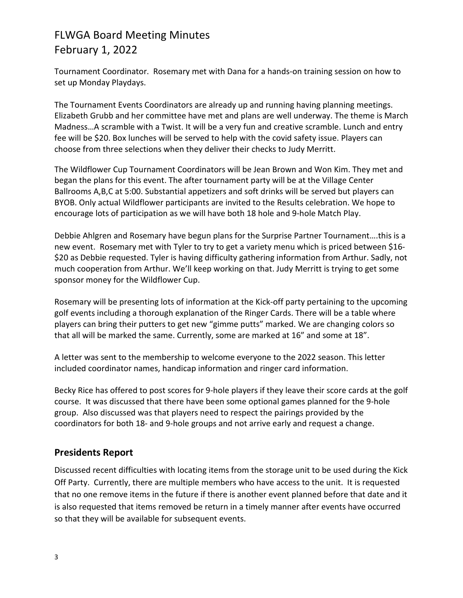### FLWGA Board Meeting Minutes February 1, 2022

Tournament Coordinator. Rosemary met with Dana for a hands-on training session on how to set up Monday Playdays.

The Tournament Events Coordinators are already up and running having planning meetings. Elizabeth Grubb and her committee have met and plans are well underway. The theme is March Madness…A scramble with a Twist. It will be a very fun and creative scramble. Lunch and entry fee will be \$20. Box lunches will be served to help with the covid safety issue. Players can choose from three selections when they deliver their checks to Judy Merritt.

The Wildflower Cup Tournament Coordinators will be Jean Brown and Won Kim. They met and began the plans for this event. The after tournament party will be at the Village Center Ballrooms A,B,C at 5:00. Substantial appetizers and soft drinks will be served but players can BYOB. Only actual Wildflower participants are invited to the Results celebration. We hope to encourage lots of participation as we will have both 18 hole and 9-hole Match Play.

Debbie Ahlgren and Rosemary have begun plans for the Surprise Partner Tournament….this is a new event. Rosemary met with Tyler to try to get a variety menu which is priced between \$16- \$20 as Debbie requested. Tyler is having difficulty gathering information from Arthur. Sadly, not much cooperation from Arthur. We'll keep working on that. Judy Merritt is trying to get some sponsor money for the Wildflower Cup.

Rosemary will be presenting lots of information at the Kick-off party pertaining to the upcoming golf events including a thorough explanation of the Ringer Cards. There will be a table where players can bring their putters to get new "gimme putts" marked. We are changing colors so that all will be marked the same. Currently, some are marked at 16" and some at 18".

A letter was sent to the membership to welcome everyone to the 2022 season. This letter included coordinator names, handicap information and ringer card information.

Becky Rice has offered to post scores for 9-hole players if they leave their score cards at the golf course. It was discussed that there have been some optional games planned for the 9-hole group. Also discussed was that players need to respect the pairings provided by the coordinators for both 18- and 9-hole groups and not arrive early and request a change.

### **Presidents Report**

Discussed recent difficulties with locating items from the storage unit to be used during the Kick Off Party. Currently, there are multiple members who have access to the unit. It is requested that no one remove items in the future if there is another event planned before that date and it is also requested that items removed be return in a timely manner after events have occurred so that they will be available for subsequent events.